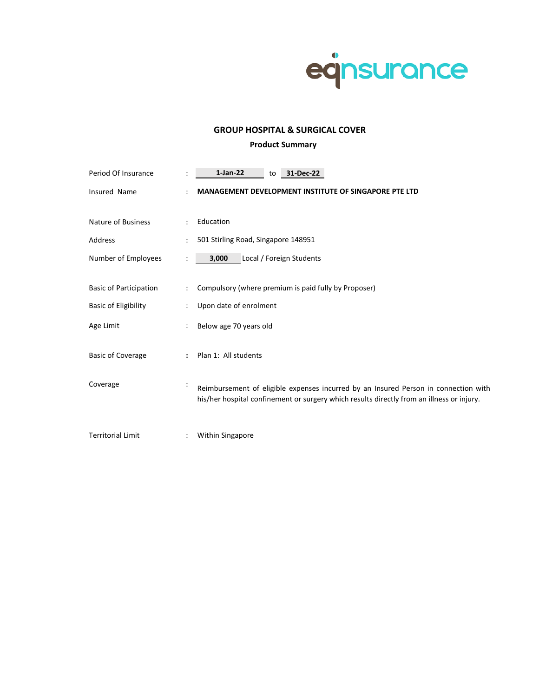

# **GROUP HOSPITAL & SURGICAL COVER**

# **Product Summary**

| Period Of Insurance           |                | $1-Jan-22$<br>31-Dec-22<br>to                                                                                                                                                    |
|-------------------------------|----------------|----------------------------------------------------------------------------------------------------------------------------------------------------------------------------------|
| <b>Insured Name</b>           |                | <b>MANAGEMENT DEVELOPMENT INSTITUTE OF SINGAPORE PTE LTD</b>                                                                                                                     |
| <b>Nature of Business</b>     | $\ddot{\cdot}$ | Education                                                                                                                                                                        |
| Address                       |                | 501 Stirling Road, Singapore 148951                                                                                                                                              |
| Number of Employees           | $\ddot{\cdot}$ | 3,000<br>Local / Foreign Students                                                                                                                                                |
|                               |                |                                                                                                                                                                                  |
| <b>Basic of Participation</b> | $\ddot{\cdot}$ | Compulsory (where premium is paid fully by Proposer)                                                                                                                             |
| <b>Basic of Eligibility</b>   |                | Upon date of enrolment                                                                                                                                                           |
| Age Limit                     | $\ddot{\cdot}$ | Below age 70 years old                                                                                                                                                           |
| <b>Basic of Coverage</b>      | ÷              | Plan 1: All students                                                                                                                                                             |
| Coverage                      | $\ddot{\cdot}$ | Reimbursement of eligible expenses incurred by an Insured Person in connection with<br>his/her hospital confinement or surgery which results directly from an illness or injury. |
| <b>Territorial Limit</b>      | $\ddot{\cdot}$ | <b>Within Singapore</b>                                                                                                                                                          |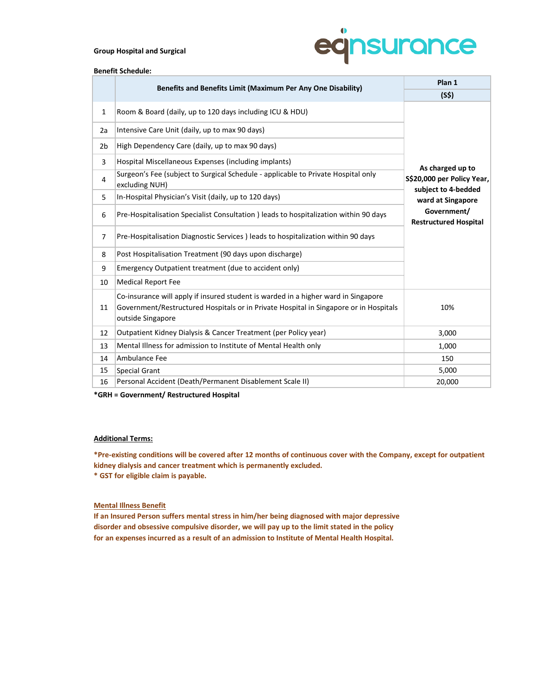## **Group Hospital and Surgical**



## **Benefit Schedule:**

|                | Benefits and Benefits Limit (Maximum Per Any One Disability)                                                                                                                                            | Plan 1                                                                 |  |  |  |  |
|----------------|---------------------------------------------------------------------------------------------------------------------------------------------------------------------------------------------------------|------------------------------------------------------------------------|--|--|--|--|
|                |                                                                                                                                                                                                         | (S5)                                                                   |  |  |  |  |
| 1              | Room & Board (daily, up to 120 days including ICU & HDU)                                                                                                                                                |                                                                        |  |  |  |  |
| 2a             | Intensive Care Unit (daily, up to max 90 days)                                                                                                                                                          |                                                                        |  |  |  |  |
| 2 <sub>b</sub> | High Dependency Care (daily, up to max 90 days)                                                                                                                                                         |                                                                        |  |  |  |  |
| 3              | Hospital Miscellaneous Expenses (including implants)<br>As charged up to                                                                                                                                |                                                                        |  |  |  |  |
| 4              | Surgeon's Fee (subject to Surgical Schedule - applicable to Private Hospital only<br>excluding NUH)                                                                                                     | S\$20,000 per Policy Year,<br>subject to 4-bedded<br>ward at Singapore |  |  |  |  |
| 5              | In-Hospital Physician's Visit (daily, up to 120 days)                                                                                                                                                   |                                                                        |  |  |  |  |
| 6              | Government/<br>Pre-Hospitalisation Specialist Consultation ) leads to hospitalization within 90 days<br><b>Restructured Hospital</b>                                                                    |                                                                        |  |  |  |  |
| $\overline{7}$ | Pre-Hospitalisation Diagnostic Services ) leads to hospitalization within 90 days                                                                                                                       |                                                                        |  |  |  |  |
| 8              | Post Hospitalisation Treatment (90 days upon discharge)                                                                                                                                                 |                                                                        |  |  |  |  |
| 9              | Emergency Outpatient treatment (due to accident only)                                                                                                                                                   |                                                                        |  |  |  |  |
| 10             | <b>Medical Report Fee</b>                                                                                                                                                                               |                                                                        |  |  |  |  |
| 11             | Co-insurance will apply if insured student is warded in a higher ward in Singapore<br>Government/Restructured Hospitals or in Private Hospital in Singapore or in Hospitals<br>10%<br>outside Singapore |                                                                        |  |  |  |  |
| 12             | Outpatient Kidney Dialysis & Cancer Treatment (per Policy year)                                                                                                                                         | 3,000                                                                  |  |  |  |  |
| 13             | Mental Illness for admission to Institute of Mental Health only                                                                                                                                         | 1,000                                                                  |  |  |  |  |
| 14             | Ambulance Fee                                                                                                                                                                                           | 150                                                                    |  |  |  |  |
| 15             | Special Grant                                                                                                                                                                                           | 5,000                                                                  |  |  |  |  |
| 16             | Personal Accident (Death/Permanent Disablement Scale II)                                                                                                                                                | 20,000                                                                 |  |  |  |  |

**\*GRH = Government/ Restructured Hospital**

## **Additional Terms:**

**\* GST for eligible claim is payable. \*Pre-existing conditions will be covered after 12 months of continuous cover with the Company, except for outpatient kidney dialysis and cancer treatment which is permanently excluded.**

# **Mental Illness Benefit**

**If an Insured Person suffers mental stress in him/her being diagnosed with major depressive disorder and obsessive compulsive disorder, we will pay up to the limit stated in the policy for an expenses incurred as a result of an admission to Institute of Mental Health Hospital.**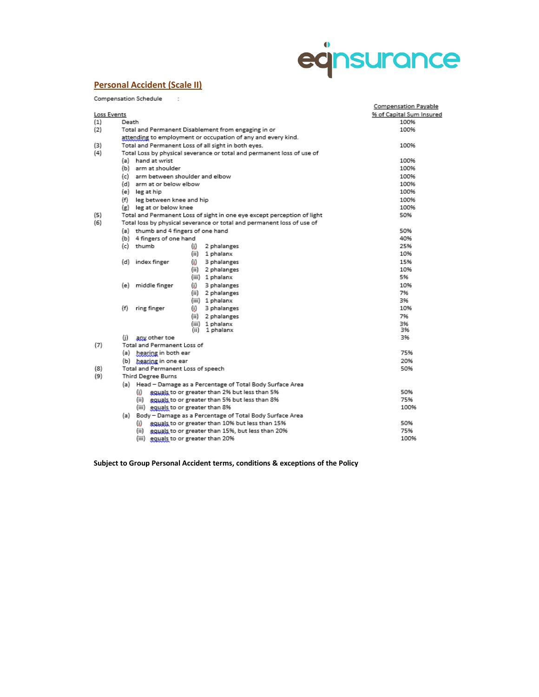# eqnsurance

# **Personal Accident (Scale II)**

 $\bar{z}$ 

Compensation Schedule

|             |                                                                        |                                                                         | <b>Compensation Payable</b> |  |  |  |  |  |  |  |
|-------------|------------------------------------------------------------------------|-------------------------------------------------------------------------|-----------------------------|--|--|--|--|--|--|--|
| Loss Events |                                                                        | % of Capital Sum Insured                                                |                             |  |  |  |  |  |  |  |
| (1)         | Death                                                                  |                                                                         | 100%                        |  |  |  |  |  |  |  |
| (2)         |                                                                        | Total and Permanent Disablement from engaging in or                     |                             |  |  |  |  |  |  |  |
|             |                                                                        | attending to employment or occupation of any and every kind.            |                             |  |  |  |  |  |  |  |
| (3)         |                                                                        | Total and Permanent Loss of all sight in both eyes.                     | 100%                        |  |  |  |  |  |  |  |
| (4)         | Total Loss by physical severance or total and permanent loss of use of |                                                                         |                             |  |  |  |  |  |  |  |
|             | (a) hand at wrist                                                      |                                                                         | 100%                        |  |  |  |  |  |  |  |
|             | (b) arm at shoulder                                                    |                                                                         | 100%                        |  |  |  |  |  |  |  |
|             | (c) arm between shoulder and elbow                                     |                                                                         | 100%                        |  |  |  |  |  |  |  |
|             | (d) arm at or below elbow                                              |                                                                         | 100%                        |  |  |  |  |  |  |  |
|             | (e) leg at hip                                                         |                                                                         | 100%                        |  |  |  |  |  |  |  |
|             | leg between knee and hip<br>(f)                                        |                                                                         | 100%                        |  |  |  |  |  |  |  |
|             | (g) leg at or below knee                                               |                                                                         | 100%                        |  |  |  |  |  |  |  |
| (5)         |                                                                        | Total and Permanent Loss of sight in one eye except perception of light | 50%                         |  |  |  |  |  |  |  |
| (6)         | Total loss by physical severance or total and permanent loss of use of |                                                                         |                             |  |  |  |  |  |  |  |
|             | (a) thumb and 4 fingers of one hand                                    |                                                                         | 50%                         |  |  |  |  |  |  |  |
|             | (b) 4 fingers of one hand                                              |                                                                         | 40%                         |  |  |  |  |  |  |  |
|             | (c) thumb                                                              | 2 phalanges<br>ω                                                        | 25%                         |  |  |  |  |  |  |  |
|             |                                                                        | (ii)<br>1 phalanx                                                       | 10%                         |  |  |  |  |  |  |  |
|             | (d) index finger                                                       | (i)<br>3 phalanges                                                      | 15%                         |  |  |  |  |  |  |  |
|             |                                                                        | (ii)<br>2 phalanges                                                     | 10%                         |  |  |  |  |  |  |  |
|             |                                                                        | (iii) 1 phalanx                                                         | 5%                          |  |  |  |  |  |  |  |
|             | (e) middle finger                                                      | (i).<br>3 phalanges                                                     | 10%                         |  |  |  |  |  |  |  |
|             |                                                                        | (ii)<br>2 phalanges                                                     | 7%                          |  |  |  |  |  |  |  |
|             |                                                                        | (iii) 1 phalanx                                                         | 3%                          |  |  |  |  |  |  |  |
|             | (f)<br>ring finger                                                     | (i)<br>3 phalanges                                                      | 10%                         |  |  |  |  |  |  |  |
|             |                                                                        | (ii)<br>2 phalanges                                                     | 7%                          |  |  |  |  |  |  |  |
|             |                                                                        | 1 phalanx<br>(iii)                                                      | 3%                          |  |  |  |  |  |  |  |
|             |                                                                        | (ii)<br>1 phalanx                                                       | 3%                          |  |  |  |  |  |  |  |
|             | any other toe<br>(i)                                                   |                                                                         | 3%                          |  |  |  |  |  |  |  |
| (7)         | Total and Permanent Loss of                                            |                                                                         | 75%                         |  |  |  |  |  |  |  |
|             |                                                                        | (a) hearing in both ear                                                 |                             |  |  |  |  |  |  |  |
|             |                                                                        | (b) hearing in one ear                                                  |                             |  |  |  |  |  |  |  |
| (8)         | Total and Permanent Loss of speech                                     |                                                                         | 50%                         |  |  |  |  |  |  |  |
| (9)         | <b>Third Degree Burns</b>                                              |                                                                         |                             |  |  |  |  |  |  |  |
|             |                                                                        | (a) Head - Damage as a Percentage of Total Body Surface Area            |                             |  |  |  |  |  |  |  |
|             | (i) equals to or greater than 2% but less than 5%                      | 50%                                                                     |                             |  |  |  |  |  |  |  |
|             | (ii) <b>equals</b> to or greater than 5% but less than 8%              | 75%<br>100%                                                             |                             |  |  |  |  |  |  |  |
|             |                                                                        | (iii) equals to or greater than 8%                                      |                             |  |  |  |  |  |  |  |
|             | Body - Damage as a Percentage of Total Body Surface Area<br>(a)        |                                                                         |                             |  |  |  |  |  |  |  |
|             |                                                                        | equals to or greater than 10% but less than 15%<br>(i).                 |                             |  |  |  |  |  |  |  |
|             |                                                                        | (ii) equals to or greater than 15%, but less than 20%                   | 75%                         |  |  |  |  |  |  |  |
|             |                                                                        | (iii) equals to or greater than 20%                                     | 100%                        |  |  |  |  |  |  |  |

(iii) **gguals to or greater than 20%** 

**Subject to Group Personal Accident terms, conditions & exceptions of the Policy**